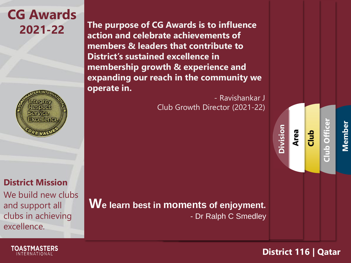## **CG Awards**

**District Mission**

We build new clubs and support all clubs in achieving excellence.

**2021-22 The purpose of CG Awards is to influence action and celebrate achievements of members & leaders that contribute to District's sustained excellence in membership growth & experience and expanding our reach in the community we operate in.**

> - Ravishankar J Club Growth Director (2021-22)

**We learn best in moments of enjoyment.** - Dr Ralph C Smedley **Member**

**Club Offi** 

**District 116 | Qatar**

**Area**

**Division**

**Club**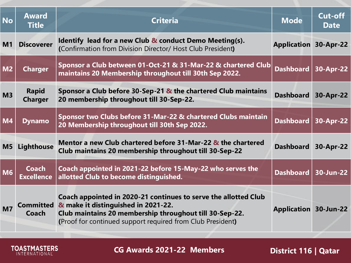| <b>No</b>      | <b>Award</b><br><b>Title</b>      | Criteria                                                                                                                                                                                                                        | <b>Mode</b>                  | <b>Cut-off</b><br><b>Date</b> |
|----------------|-----------------------------------|---------------------------------------------------------------------------------------------------------------------------------------------------------------------------------------------------------------------------------|------------------------------|-------------------------------|
| M <sub>1</sub> | <b>Discoverer</b>                 | Identify lead for a new Club & conduct Demo Meeting(s).<br>(Confirmation from Division Director/ Host Club President)                                                                                                           | <b>Application 30-Apr-22</b> |                               |
| M <sub>2</sub> | <b>Charger</b>                    | Sponsor a Club between 01-Oct-21 & 31-Mar-22 & chartered Club<br>maintains 20 Membership throughout till 30th Sep 2022.                                                                                                         | <b>Dashboard</b>             | 30-Apr-22                     |
| M <sub>3</sub> | <b>Rapid</b><br><b>Charger</b>    | Sponsor a Club before 30-Sep-21 $\&$ the chartered Club maintains<br>20 membership throughout till 30-Sep-22.                                                                                                                   | <b>Dashboard</b>             | 30-Apr-22                     |
| <b>M4</b>      | <b>Dynamo</b>                     | Sponsor two Clubs before 31-Mar-22 & chartered Clubs maintain<br>20 Membership throughout till 30th Sep 2022.                                                                                                                   | <b>Dashboard</b>             | 30-Apr-22                     |
| M5             | Lighthouse                        | Mentor a new Club chartered before 31-Mar-22 & the chartered<br>Club maintains 20 membership throughout till 30-Sep-22                                                                                                          | <b>Dashboard</b>             | 30-Apr-22                     |
| <b>M6</b>      | <b>Coach</b><br><b>Excellence</b> | Coach appointed in 2021-22 before 15-May-22 who serves the<br>allotted Club to become distinguished.                                                                                                                            | <b>Dashboard</b>             | 30-Jun-22                     |
| M <sub>7</sub> | <b>Committed</b><br>Coach         | Coach appointed in 2020-21 continues to serve the allotted Club<br>& make it distinguished in 2021-22.<br>Club maintains 20 membership throughout till 30-Sep-22.<br>(Proof for continued support required from Club President) | <b>Application 30-Jun-22</b> |                               |

**CG Awards 2021-22 Members**

**TOASTMASTERS**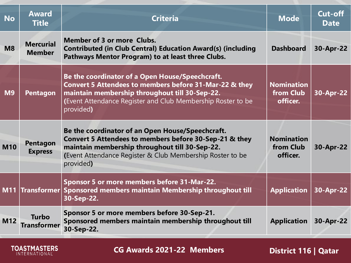| <b>No</b>  | <b>Award</b><br><b>Title</b>      | <b>Criteria</b>                                                                                                                                                                                                                         | <b>Mode</b>                                | <b>Cut-off</b><br><b>Date</b> |
|------------|-----------------------------------|-----------------------------------------------------------------------------------------------------------------------------------------------------------------------------------------------------------------------------------------|--------------------------------------------|-------------------------------|
| <b>M8</b>  | <b>Mercurial</b><br><b>Member</b> | <b>Member of 3 or more Clubs.</b><br><b>Contributed (in Club Central) Education Award(s) (including</b><br>Pathways Mentor Program) to at least three Clubs.                                                                            | <b>Dashboard</b>                           | 30-Apr-22                     |
| <b>M9</b>  | <b>Pentagon</b>                   | Be the coordinator of a Open House/Speechcraft.<br>Convert 5 Attendees to members before 31-Mar-22 & they<br>maintain membership throughout till 30-Sep-22.<br>(Event Attendance Register and Club Membership Roster to be<br>provided) | <b>Nomination</b><br>from Club<br>officer. | 30-Apr-22                     |
| <b>M10</b> | <b>Pentagon</b><br><b>Express</b> | Be the coordinator of an Open House/Speechcraft.<br>Convert 5 Attendees to members before 30-Sep-21 & they<br>maintain membership throughout till 30-Sep-22.<br>(Event Attendance Register & Club Membership Roster to be<br>provided)  | <b>Nomination</b><br>from Club<br>officer. | 30-Apr-22                     |
|            | M11 Transformer                   | Sponsor 5 or more members before 31-Mar-22.<br>Sponsored members maintain Membership throughout till<br>30-Sep-22.                                                                                                                      | <b>Application</b>                         | 30-Apr-22                     |
| M12        | <b>Turbo</b><br>Transformer       | Sponsor 5 or more members before 30-Sep-21.<br>Sponsored members maintain membership throughout till<br>30-Sep-22.                                                                                                                      | <b>Application</b>                         | 30-Apr-22                     |

**TOASTMASTERS** 

**CG Awards 2021-22 Members**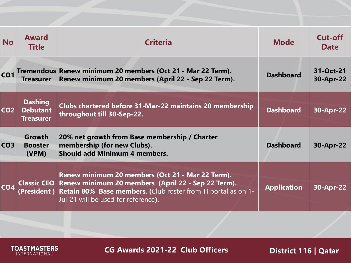| <b>No</b>       | <b>Award</b><br><b>Title</b>                          | <b>Criteria</b>                                                                                                                                                                                                              | <b>Mode</b>        | Cut-off<br><b>Date</b> |
|-----------------|-------------------------------------------------------|------------------------------------------------------------------------------------------------------------------------------------------------------------------------------------------------------------------------------|--------------------|------------------------|
| CO <sub>1</sub> | <b>Treasurer</b>                                      | Tremendous Renew minimum 20 members (Oct 21 - Mar 22 Term).<br>Renew minimum 20 members (April 22 - Sep 22 Term).                                                                                                            | <b>Dashboard</b>   | 31-Oct-21<br>30-Apr-22 |
| CO <sub>2</sub> | <b>Dashing</b><br><b>Debutant</b><br><b>Treasurer</b> | <b>Clubs chartered before 31-Mar-22 maintains 20 membership</b><br>throughout till 30-Sep-22.                                                                                                                                | <b>Dashboard</b>   | 30-Apr-22              |
| CO <sub>3</sub> | <b>Growth</b><br><b>Booster</b><br>(VPM)              | 20% net growth from Base membership / Charter<br>membership (for new Clubs).<br><b>Should add Minimum 4 members.</b>                                                                                                         | <b>Dashboard</b>   | 30-Apr-22              |
| CO <sub>4</sub> |                                                       | Renew minimum 20 members (Oct 21 - Mar 22 Term).<br>Classic CEO   Renew minimum 20 members (April 22 - Sep 22 Term).<br>Retain 80% Base members. (Club roster from TI portal as on 1-<br>Jul-21 will be used for reference). | <b>Application</b> | 30-Apr-22              |

**CG Awards 2021-22 Club Officers**

**TOASTMASTERS**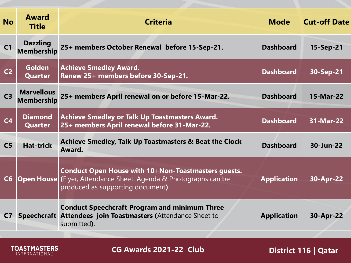| <b>No</b>      | <b>Award</b><br><b>Title</b>           | <b>Criteria</b>                                                                                                                                                     | <b>Mode</b>        | <b>Cut-off Date</b> |
|----------------|----------------------------------------|---------------------------------------------------------------------------------------------------------------------------------------------------------------------|--------------------|---------------------|
| C <sub>1</sub> | <b>Dazzling</b><br><b>Membership</b>   | 25+ members October Renewal before 15-Sep-21.                                                                                                                       | <b>Dashboard</b>   | 15-Sep-21           |
| C <sub>2</sub> | <b>Golden</b><br><b>Quarter</b>        | <b>Achieve Smedley Award.</b><br>Renew 25+ members before 30-Sep-21.                                                                                                | <b>Dashboard</b>   | 30-Sep-21           |
| C <sub>3</sub> | <b>Marvellous</b><br><b>Membership</b> | 25+ members April renewal on or before 15-Mar-22.                                                                                                                   | <b>Dashboard</b>   | 15-Mar-22           |
| C <sub>4</sub> | <b>Diamond</b><br><b>Quarter</b>       | <b>Achieve Smedley or Talk Up Toastmasters Award.</b><br>25+ members April renewal before 31-Mar-22.                                                                | <b>Dashboard</b>   | 31-Mar-22           |
| C <sub>5</sub> | <b>Hat-trick</b>                       | Achieve Smedley, Talk Up Toastmasters & Beat the Clock<br>Award.                                                                                                    | <b>Dashboard</b>   | 30-Jun-22           |
| C6             |                                        | Conduct Open House with 10+Non-Toastmasters guests.<br><b>Open House</b> (Flyer, Attendance Sheet, Agenda & Photographs can be<br>produced as supporting document). | <b>Application</b> | 30-Apr-22           |
| C <sub>7</sub> |                                        | <b>Conduct Speechcraft Program and minimum Three</b><br>Speechcraft Attendees join Toastmasters (Attendance Sheet to<br>submitted).                                 | <b>Application</b> | 30-Apr-22           |

**TOASTMASTERS** 

**CG Awards 2021-22 Club**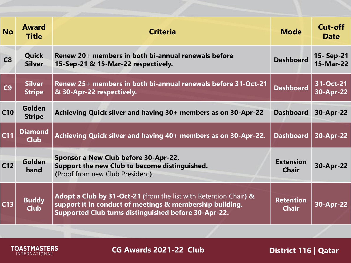| <b>No</b>      | <b>Award</b><br><b>Title</b>   | <b>Criteria</b>                                                                                                                                                                      | <b>Mode</b>                      | Cut-off<br><b>Date</b> |
|----------------|--------------------------------|--------------------------------------------------------------------------------------------------------------------------------------------------------------------------------------|----------------------------------|------------------------|
| C8             | <b>Quick</b><br><b>Silver</b>  | Renew 20+ members in both bi-annual renewals before<br>15-Sep-21 & 15-Mar-22 respectively.                                                                                           | <b>Dashboard</b>                 | 15-Sep-21<br>15-Mar-22 |
| C <sub>9</sub> | <b>Silver</b><br><b>Stripe</b> | Renew 25+ members in both bi-annual renewals before 31-Oct-21<br>& 30-Apr-22 respectively.                                                                                           | <b>Dashboard</b>                 | 31-Oct-21<br>30-Apr-22 |
| C10            | <b>Golden</b><br><b>Stripe</b> | Achieving Quick silver and having 30+ members as on 30-Apr-22                                                                                                                        | <b>Dashboard</b>                 | 30-Apr-22              |
| C11            | <b>Diamond</b><br><b>Club</b>  | Achieving Quick silver and having 40+ members as on 30-Apr-22.                                                                                                                       | <b>Dashboard</b>                 | 30-Apr-22              |
| C12            | Golden<br>hand                 | Sponsor a New Club before 30-Apr-22.<br>Support the new Club to become distinguished.<br>(Proof from new Club President).                                                            | <b>Extension</b><br><b>Chair</b> | 30-Apr-22              |
| C13            | <b>Buddy</b><br><b>Club</b>    | Adopt a Club by 31-Oct-21 (from the list with Retention Chair) &<br>support it in conduct of meetings & membership building.<br>Supported Club turns distinguished before 30-Apr-22. | <b>Retention</b><br><b>Chair</b> | 30-Apr-22              |
|                |                                |                                                                                                                                                                                      |                                  |                        |

**CG Awards 2021-22 Club**

**TOASTMASTERS**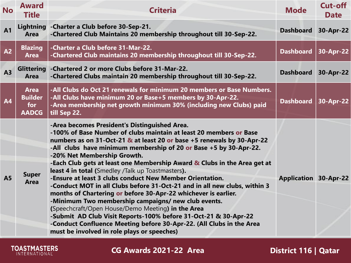| <b>No</b>       | <b>Award</b><br><b>Title</b>                         | <b>Criteria</b>                                                                                                                                                                                                                                                                                                                                                                                                                                                                                                                                                                                                                                                                                                                                                                                                                                                                                                                                     | <b>Mode</b>                  | <b>Cut-off</b><br><b>Date</b> |
|-----------------|------------------------------------------------------|-----------------------------------------------------------------------------------------------------------------------------------------------------------------------------------------------------------------------------------------------------------------------------------------------------------------------------------------------------------------------------------------------------------------------------------------------------------------------------------------------------------------------------------------------------------------------------------------------------------------------------------------------------------------------------------------------------------------------------------------------------------------------------------------------------------------------------------------------------------------------------------------------------------------------------------------------------|------------------------------|-------------------------------|
| A <sub>1</sub>  | Lightning<br><b>Area</b>                             | -Charter a Club before 30-Sep-21.<br>-Chartered Club Maintains 20 membership throughout till 30-Sep-22.                                                                                                                                                                                                                                                                                                                                                                                                                                                                                                                                                                                                                                                                                                                                                                                                                                             | <b>Dashboard</b>             | 30-Apr-22                     |
| A <sub>2</sub>  | <b>Blazing</b><br><b>Area</b>                        | -Charter a Club before 31-Mar-22.<br>-Chartered Club maintains 20 membership throughout till 30-Sep-22.                                                                                                                                                                                                                                                                                                                                                                                                                                                                                                                                                                                                                                                                                                                                                                                                                                             | <b>Dashboard</b>             | 30-Apr-22                     |
| A <sub>3</sub>  | <b>Glittering</b><br><b>Area</b>                     | -Chartered 2 or more Clubs before 31-Mar-22.<br>-Chartered Clubs maintain 20 membership throughout till 30-Sep-22.                                                                                                                                                                                                                                                                                                                                                                                                                                                                                                                                                                                                                                                                                                                                                                                                                                  | <b>Dashboard</b>             | 30-Apr-22                     |
| $\overline{A4}$ | <b>Area</b><br><b>Builder</b><br>for<br><b>AADCG</b> | -All Clubs do Oct 21 renewals for minimum 20 members or Base Numbers.<br>-All Clubs have minimum 20 or Base+5 members by 30-Apr-22.<br>-Area membership net growth minimum 30% (including new Clubs) paid<br>till Sep 22.                                                                                                                                                                                                                                                                                                                                                                                                                                                                                                                                                                                                                                                                                                                           | <b>Dashboard</b>             | 30-Apr-22                     |
| <b>A5</b>       | <b>Super</b><br><b>Area</b>                          | -Area becomes President's Distinguished Area.<br>-100% of Base Number of clubs maintain at least 20 members or Base<br>numbers as on 31-Oct-21 & at least 20 or base +5 renewals by 30-Apr-22<br>-All clubs have minimum membership of 20 or Base +5 by 30-Apr-22.<br>-20% Net Membership Growth.<br>-Each Club gets at least one Membership Award & Clubs in the Area get at<br>least 4 in total (Smedley /Talk up Toastmasters).<br>-Ensure at least 3 clubs conduct New Member Orientation.<br>-Conduct MOT in all Clubs before 31-Oct-21 and in all new clubs, within 3<br>months of Chartering or before 30-Apr-22 whichever is earlier.<br>-Minimum Two membership campaigns/ new club events.<br>(Speechcraft/Open House/Demo Meeting) in the Area<br>-Submit AD Club Visit Reports-100% before 31-Oct-21 & 30-Apr-22<br>-Conduct Confluence Meeting before 30-Apr-22. (All Clubs in the Area<br>must be involved in role plays or speeches) | <b>Application 30-Apr-22</b> |                               |

**CG Awards 2021-22 Area**

**TOASTMASTERS**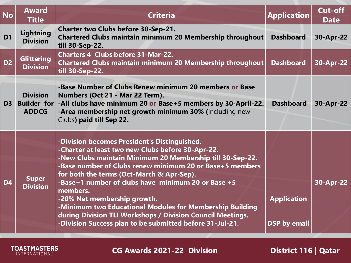| <b>No</b>      | <b>Award</b><br><b>Title</b>                          | <b>Criteria</b>                                                                                                                                                                                                                                                                                                                                                                                                                                                                                                                                                | <b>Application</b>                        | <b>Cut-off</b><br><b>Date</b> |
|----------------|-------------------------------------------------------|----------------------------------------------------------------------------------------------------------------------------------------------------------------------------------------------------------------------------------------------------------------------------------------------------------------------------------------------------------------------------------------------------------------------------------------------------------------------------------------------------------------------------------------------------------------|-------------------------------------------|-------------------------------|
| D <sub>1</sub> | <b>Lightning</b><br><b>Division</b>                   | <b>Charter two Clubs before 30-Sep-21.</b><br><b>Chartered Clubs maintain minimum 20 Membership throughout</b><br>till 30-Sep-22.                                                                                                                                                                                                                                                                                                                                                                                                                              | <b>Dashboard</b>                          | 30-Apr-22                     |
| D <sub>2</sub> | <b>Glittering</b><br><b>Division</b>                  | <b>Charters 4 Clubs before 31-Mar-22.</b><br>Chartered Clubs maintain minimum 20 Membership throughout<br>till 30-Sep-22.                                                                                                                                                                                                                                                                                                                                                                                                                                      | <b>Dashboard</b>                          | 30-Apr-22                     |
| D <sub>3</sub> | <b>Division</b><br><b>Builder for</b><br><b>ADDCG</b> | -Base Number of Clubs Renew minimum 20 members or Base<br>Numbers (Oct 21 - Mar 22 Term).<br>-All clubs have minimum 20 or Base+5 members by 30-April-22.<br>-Area membership net growth minimum 30% (including new<br>Clubs) paid till Sep 22.                                                                                                                                                                                                                                                                                                                | <b>Dashboard</b>                          | 30-Apr-22                     |
| <b>D4</b>      | <b>Super</b><br><b>Division</b>                       | -Division becomes President's Distinguished.<br>-Charter at least two new Clubs before 30-Apr-22.<br>-New Clubs maintain Minimum 20 Membership till 30-Sep-22.<br>-Base number of Clubs renew minimum 20 or Base+5 members<br>for both the terms (Oct-March & Apr-Sep).<br>-Base+1 number of clubs have minimum 20 or Base +5<br>members.<br>-20% Net membership growth.<br>-Minimum two Educational Modules for Membership Building<br>during Division TLI Workshops / Division Council Meetings.<br>-Division Success plan to be submitted before 31-Jul-21. | <b>Application</b><br><b>DSP by email</b> | 30-Apr-22                     |

**TOASTMASTERS** 

**CG Awards 2021-22 Division District 116 | Qatar**